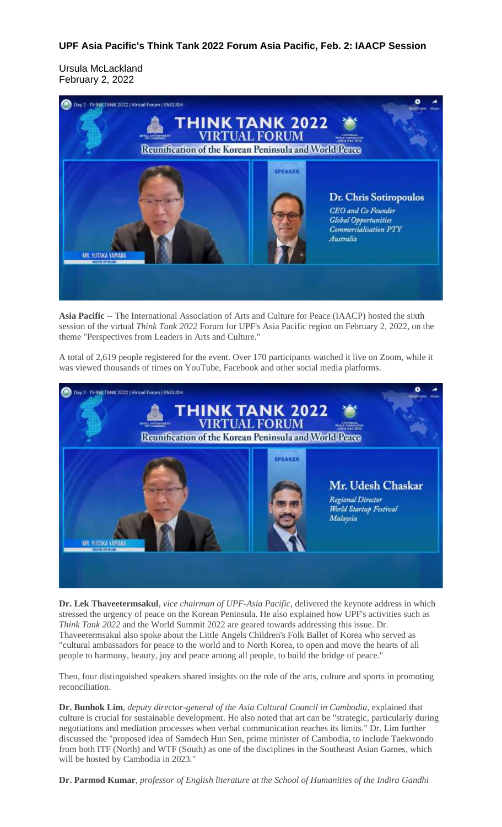## **UPF Asia Pacific's Think Tank 2022 Forum Asia Pacific, Feb. 2: IAACP Session**

Ursula McLackland February 2, 2022



**Asia Pacific** -- The International Association of Arts and Culture for Peace (IAACP) hosted the sixth session of the virtual *Think Tank 2022* Forum for UPF's Asia Pacific region on February 2, 2022, on the theme "Perspectives from Leaders in Arts and Culture."

A total of 2,619 people registered for the event. Over 170 participants watched it live on Zoom, while it was viewed thousands of times on YouTube, Facebook and other social media platforms.



**Dr. Lek Thaveetermsakul**, *vice chairman of UPF-Asia Pacific*, delivered the keynote address in which stressed the urgency of peace on the Korean Peninsula. He also explained how UPF's activities such as *Think Tank 2022* and the World Summit 2022 are geared towards addressing this issue. Dr. Thaveetermsakul also spoke about the Little Angels Children's Folk Ballet of Korea who served as "cultural ambassadors for peace to the world and to North Korea, to open and move the hearts of all people to harmony, beauty, joy and peace among all people, to build the bridge of peace."

Then, four distinguished speakers shared insights on the role of the arts, culture and sports in promoting reconciliation.

**Dr. Bunhok Lim**, *deputy director-general of the Asia Cultural Council in Cambodia*, explained that culture is crucial for sustainable development. He also noted that art can be "strategic, particularly during negotiations and mediation processes when verbal communication reaches its limits." Dr. Lim further discussed the "proposed idea of Samdech Hun Sen, prime minister of Cambodia, to include Taekwondo from both ITF (North) and WTF (South) as one of the disciplines in the Southeast Asian Games, which will be hosted by Cambodia in 2023."

**Dr. Parmod Kumar**, *professor of English literature at the School of Humanities of the Indira Gandhi*